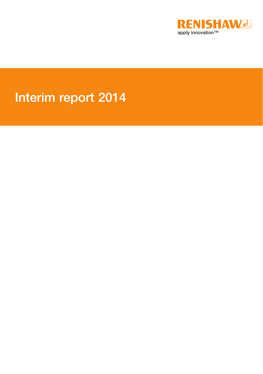

# Interim report 2014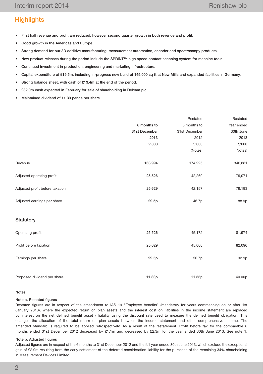# **Highlights**

- First half revenue and profit are reduced, however second quarter growth in both revenue and profit.
- • Good growth in the Americas and Europe.
- Strong demand for our 3D additive manufacturing, measurement automation, encoder and spectroscopy products.
- New product releases during the period include the SPRINT™ high speed contact scanning system for machine tools.
- Continued investment in production, engineering and marketing infrastructure.
- Capital expenditure of £19.5m, including in-progress new build of 145,000 sq ft at New Mills and expanded facilities in Germany.
- Strong balance sheet, with cash of £13.4m at the end of the period.
- £32.0m cash expected in February for sale of shareholding in Delcam plc.
- • Maintained dividend of 11.33 pence per share.

|                                 |               | Restated      | Restated   |
|---------------------------------|---------------|---------------|------------|
|                                 | 6 months to   | 6 months to   | Year ended |
|                                 | 31st December | 31st December | 30th June  |
|                                 | 2013          | 2012          | 2013       |
|                                 | £'000         | £'000         | £'000      |
|                                 |               | (Notes)       | (Notes)    |
| Revenue                         | 163,994       | 174,225       | 346,881    |
| Adjusted operating profit       | 25,526        | 42,269        | 79,071     |
| Adjusted profit before taxation | 25,629        | 42,157        | 79,193     |
| Adjusted earnings per share     | 29.5p         | 46.7p         | 88.9p      |
| Statutory                       |               |               |            |
| Operating profit                | 25,526        | 45,172        | 81,974     |
| Profit before taxation          | 25,629        | 45,060        | 82,096     |
| Earnings per share              | 29.5p         | 50.7p         | 92.9p      |
| Proposed dividend per share     | 11.33p        | 11.33p        | 40.00p     |
|                                 |               |               |            |

#### Notes

#### Note a. Restated figures

Restated figures are in respect of the amendment to IAS 19 "Employee benefits" (mandatory for years commencing on or after 1st January 2013), where the expected return on plan assets and the interest cost on liabilities in the income statement are replaced by interest on the net defined benefit asset / liability using the discount rate used to measure the defined benefit obligation. This changes the allocation of the total return on plan assets between the income statement and other comprehensive income. The amended standard is required to be applied retrospectively. As a result of the restatement, Profit before tax for the comparable 6 months ended 31st December 2012 decreased by £1.1m and decreased by £2.3m for the year ended 30th June 2013. See note 1.

#### Note b. Adjusted figures

Adjusted figures are in respect of the 6 months to 31st December 2012 and the full year ended 30th June 2013, which exclude the exceptional gain of £2.9m resulting from the early settlement of the deferred consideration liability for the purchase of the remaining 34% shareholding in Measurement Devices Limited.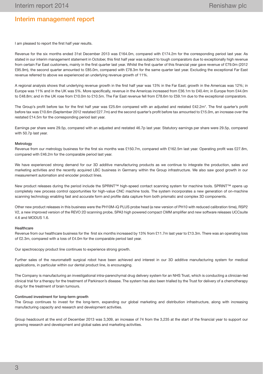## Interim management report

I am pleased to report the first half year results.

Revenue for the six months ended 31st December 2013 was £164.0m, compared with £174.2m for the corresponding period last year. As stated in our interim management statement in October, this first half year was subject to tough comparators due to exceptionally high revenue from certain Far East customers, mainly in the first quarter last year. Whilst the first quarter of this financial year gave revenue of £79.0m (2012 £95.9m), the second quarter amounted to £85.0m, compared with £78.3m for the same quarter last year. Excluding the exceptional Far East revenue referred to above we experienced an underlying revenue growth of 11%.

A regional analysis shows that underlying revenue growth in the first half year was 13% in the Far East; growth in the Americas was 12%; in Europe was 11% and in the UK was 5%. More specifically, revenue in the Americas increased from £36.1m to £40.4m; in Europe from £44.0m to £48.8m; and in the UK rose from £10.0m to £10.5m. The Far East revenue fell from £78.6m to £59.1m due to the exceptional comparators.

The Group's profit before tax for the first half year was £25.6m compared with an adjusted and restated £42.2m\*. The first quarter's profit before tax was £10.6m (September 2012 restated £27.7m) and the second quarter's profit before tax amounted to £15.0m, an increase over the restated £14.5m for the corresponding period last year.

Earnings per share were 29.5p, compared with an adjusted and restated 46.7p last year. Statutory earnings per share were 29.5p, compared with 50.7p last year.

#### Metrology

Revenue from our metrology business for the first six months was £150.7m, compared with £162.5m last year. Operating profit was £27.8m, compared with £46.2m for the comparable period last year.

We have experienced strong demand for our 3D additive manufacturing products as we continue to integrate the production, sales and marketing activities and the recently acquired LBC business in Germany within the Group infrastructure. We also saw good growth in our measurement automation and encoder product lines.

New product releases during the period include the SPRINT™ high-speed contact scanning system for machine tools. SPRINT™ opens up completely new process control opportunities for high-value CNC machine tools. The system incorporates a new generation of on-machine scanning technology enabling fast and accurate form and profile data capture from both prismatic and complex 3D components.

Other new product releases in this business were the PH10M-iQ PLUS probe head (a new version of PH10 with reduced calibration time), RSP2 V2, a new improved version of the REVO 2D scanning probe, SPA3 high powered compact CMM amplifier and new software releases UCCsuite 4.6 and MODUS 1.6.

#### **Healthcare**

Revenue from our healthcare business for the first six months increased by 13% from £11.7m last year to £13.3m. There was an operating loss of £2.3m, compared with a loss of £4.0m for the comparable period last year.

Our spectroscopy product line continues to experience strong growth.

Further sales of the neuromate® surgical robot have been achieved and interest in our 3D additive manufacturing system for medical applications, in particular within our dental product line, is encouraging.

The Company is manufacturing an investigational intra-parenchymal drug delivery system for an NHS Trust, which is conducting a clinician-led clinical trial for a therapy for the treatment of Parkinson's disease. The system has also been trialled by the Trust for delivery of a chemotherapy drug for the treatment of brain tumours.

#### Continued investment for long-term growth

The Group continues to invest for the long-term, expanding our global marketing and distribution infrastructure, along with increasing manufacturing capacity and research and development activities.

Group headcount at the end of December 2013 was 3,309, an increase of 74 from the 3,235 at the start of the financial year to support our growing research and development and global sales and marketing activities.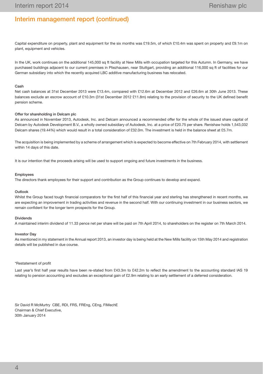## Interim management report (continued)

Capital expenditure on property, plant and equipment for the six months was £19.5m, of which £10.4m was spent on property and £9.1m on plant, equipment and vehicles.

In the UK, work continues on the additional 145,000 sq ft facility at New Mills with occupation targeted for this Autumn. In Germany, we have purchased buildings adjacent to our current premises in Pliezhausen, near Stuttgart, providing an additional 116,000 sq ft of facilities for our German subsidiary into which the recently acquired LBC additive manufacturing business has relocated.

#### Cash

Net cash balances at 31st December 2013 were £13.4m, compared with £12.6m at December 2012 and £26.6m at 30th June 2013. These balances exclude an escrow account of £10.3m (31st December 2012 £11.8m) relating to the provision of security to the UK defined benefit pension scheme.

#### Offer for shareholding in Delcam plc

As announced in November 2013, Autodesk, Inc. and Delcam announced a recommended offer for the whole of the issued share capital of Delcam by Autodesk Development B.V., a wholly owned subsidiary of Autodesk, Inc. at a price of £20.75 per share. Renishaw holds 1,543,032 Delcam shares (19.44%) which would result in a total consideration of £32.0m. The investment is held in the balance sheet at £5.7m.

The acquisition is being implemented by a scheme of arrangement which is expected to become effective on 7th February 2014, with settlement within 14 days of this date.

It is our intention that the proceeds arising will be used to support ongoing and future investments in the business.

#### Employees

The directors thank employees for their support and contribution as the Group continues to develop and expand.

#### **Outlook**

Whilst the Group faced tough financial comparators for the first half of this financial year and sterling has strengthened in recent months, we are expecting an improvement in trading activities and revenue in the second half. With our continuing investment in our business sectors, we remain confident for the longer term prospects for the Group.

#### Dividends

A maintained interim dividend of 11.33 pence net per share will be paid on 7th April 2014, to shareholders on the register on 7th March 2014.

#### Investor Day

As mentioned in my statement in the Annual report 2013, an investor day is being held at the New Mills facility on 15th May 2014 and registration details will be published in due course.

#### \*Restatement of profit

Last year's first half year results have been re-stated from £43.3m to £42.2m to reflect the amendment to the accounting standard IAS 19 relating to pension accounting and excludes an exceptional gain of £2.9m relating to an early settlement of a deferred consideration.

Sir David R McMurtry CBE, RDI, FRS, FREng, CEng, FIMechE Chairman & Chief Executive, 30th January 2014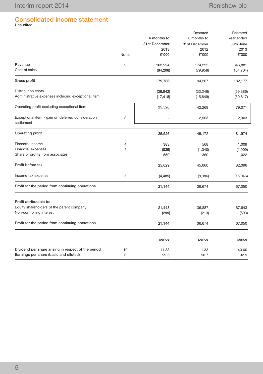# Consolidated income statement Unaudited

|                                                                 |                |               | Restated      | Restated   |
|-----------------------------------------------------------------|----------------|---------------|---------------|------------|
|                                                                 |                | 6 months to   | 6 months to   | Year ended |
|                                                                 |                | 31st December | 31st December | 30th June  |
|                                                                 |                | 2013          | 2012          | 2013       |
|                                                                 | <b>Notes</b>   | £'000         | £'000         | £'000      |
| Revenue                                                         | $\overline{c}$ | 163,994       | 174,225       | 346,881    |
| Cost of sales                                                   |                | (84, 208)     | (79, 958)     | (164, 704) |
| Gross profit                                                    |                | 79,786        | 94,267        | 182,177    |
| Distribution costs                                              |                | (36, 842)     | (33, 246)     | (69, 386)  |
| Administrative expenses including exceptional item              |                | (17, 418)     | (15, 849)     | (30, 817)  |
| Operating profit excluding exceptional item                     |                | 25,526        | 42,269        | 79,071     |
| Exceptional item - gain on deferred consideration<br>settlement | 3              |               | 2,903         | 2,903      |
| Operating profit                                                |                | 25,526        | 45,172        | 81,974     |
| Financial income                                                | 4              | 383           | 568           | 1,009      |
| <b>Financial expenses</b>                                       | 4              | (839)         | (1,040)       | (1,909)    |
| Share of profits from associates                                |                | 559           | 360           | 1,022      |
| Profit before tax                                               |                | 25,629        | 45,060        | 82,096     |
| Income tax expense                                              | 5              | (4, 485)      | (8,386)       | (15,046)   |
| Profit for the period from continuing operations                |                | 21,144        | 36,674        | 67,050     |
| Profit attributable to:                                         |                |               |               |            |
| Equity shareholders of the parent company                       |                | 21,443        | 36,887        | 67,643     |
| Non-controlling interest                                        |                | (299)         | (213)         | (593)      |
| Profit for the period from continuing operations                |                | 21,144        | 36,674        | 67,050     |
|                                                                 |                | pence         | pence         | pence      |
| Dividend per share arising in respect of the period             | 10             | 11.33         | 11.33         | 40.00      |
| Earnings per share (basic and diluted)                          | 6              | 29.5          | 50.7          | 92.9       |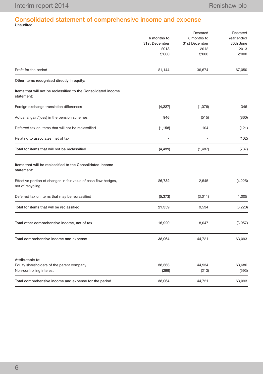# Consolidated statement of comprehensive income and expense Unaudited

|                                                                                           | 6 months to<br>31st December<br>2013<br>£'000 | Restated<br>6 months to<br>31st December<br>2012<br>£'000 | Restated<br>Year ended<br>30th June<br>2013<br>£'000 |
|-------------------------------------------------------------------------------------------|-----------------------------------------------|-----------------------------------------------------------|------------------------------------------------------|
| Profit for the period                                                                     | 21,144                                        | 36,674                                                    | 67,050                                               |
| Other items recognised directly in equity:                                                |                                               |                                                           |                                                      |
| Items that will not be reclassified to the Consolidated income<br>statement:              |                                               |                                                           |                                                      |
| Foreign exchange translation differences                                                  | (4, 227)                                      | (1,076)                                                   | 346                                                  |
| Actuarial gain/(loss) in the pension schemes                                              | 946                                           | (515)                                                     | (860)                                                |
| Deferred tax on items that will not be reclassified                                       | (1, 158)                                      | 104                                                       | (121)                                                |
| Relating to associates, net of tax                                                        |                                               |                                                           | (102)                                                |
| Total for items that will not be reclassified                                             | (4, 439)                                      | (1, 487)                                                  | (737)                                                |
| Items that will be reclassified to the Consolidated income<br>statement:                  |                                               |                                                           |                                                      |
| Effective portion of changes in fair value of cash flow hedges,<br>net of recycling       | 26,732                                        | 12,545                                                    | (4,225)                                              |
| Deferred tax on items that may be reclassified                                            | (5, 373)                                      | (3,011)                                                   | 1,005                                                |
| Total for items that will be reclassified                                                 | 21,359                                        | 9,534                                                     | (3,220)                                              |
| Total other comprehensive income, net of tax                                              | 16,920                                        | 8,047                                                     | (3,957)                                              |
| Total comprehensive income and expense                                                    | 38,064                                        | 44,721                                                    | 63,093                                               |
| Attributable to:<br>Equity shareholders of the parent company<br>Non-controlling interest | 38,363<br>(299)                               | 44,934<br>(213)                                           | 63,686<br>(593)                                      |
| Total comprehensive income and expense for the period                                     | 38,064                                        | 44,721                                                    | 63,093                                               |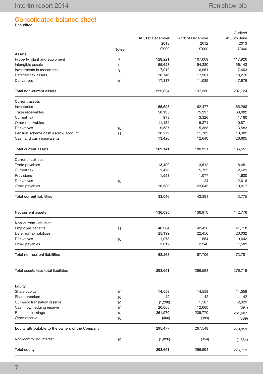# Consolidated balance sheet Unaudited

|                                                  |              |                  |                  | Audited      |
|--------------------------------------------------|--------------|------------------|------------------|--------------|
|                                                  |              | At 31st December | At 31st December | At 30th June |
|                                                  |              | 2013             | 2012             | 2013         |
|                                                  | <b>Notes</b> | £'000            | £'000            | £'000        |
| Assets                                           |              |                  |                  |              |
| Property, plant and equipment                    | 7            | 128,221          | 107,009          | 117,926      |
| Intangible assets                                | 8            | 55,628           | 54,380           | 56,143       |
| Investments in associates                        | 9            | 7,912            | 6,951            | 7,403        |
| Deferred tax assets                              |              | 16,746           | 17,901           | 18,276       |
| Derivatives                                      | 10           | 17,317           | 11,089           | 7,976        |
| Total non-current assets                         |              | 225,824          | 197,330          | 207,724      |
| <b>Current assets</b>                            |              |                  |                  |              |
| Inventories                                      |              | 65,593           | 62,477           | 65,268       |
| Trade receivables                                |              | 58,135           | 75,397           | 68,082       |
| Current tax                                      |              | 973              | 3,326            | 1,160        |
| Other receivables                                |              | 11,154           | 9,371            | 10,871       |
| Derivatives                                      | 10           | 9,587            | 5,358            | 3,583        |
| Pension scheme cash escrow account               | 11           | 10,279           | 11,782           | 10,982       |
| Cash and cash equivalents                        |              | 13,420           | 12,640           | 26,605       |
| <b>Total current assets</b>                      |              | 169,141          | 180,351          | 186,551      |
| <b>Current liabilities</b>                       |              |                  |                  |              |
| Trade payables                                   |              | 13,490           | 13,512           | 18,481       |
| Current tax                                      |              | 1,423            | 5,725            | 2,629        |
| Provisions                                       |              | 1,553            | 1,077            | 1,630        |
| Derivatives                                      | 10           |                  | 24               | 2,018        |
| Other payables                                   |              | 16,580           | 23,043           | 19,017       |
| <b>Total current liabilities</b>                 |              | 33,046           | 43,381           | 43,775       |
| Net current assets                               |              | 136,095          | 136,970          | 142,776      |
| Non-current liabilities                          |              |                  |                  |              |
| <b>Employee benefits</b>                         | 11           | 40,384           | 42,450           | 41,718       |
| Deferred tax liabilities                         |              | 25,199           | 22,456           | 20,032       |
| Derivatives                                      | 10           | 1,073            | 554              | 10,442       |
| Other payables                                   |              | 1,612            | 2,246            | 1,589        |
|                                                  |              |                  |                  |              |
| Total non-current liabilities                    |              | 68,268           | 67,706           | 73,781       |
| Total assets less total liabilities              |              | 293,651          | 266,594          | 276,719      |
| Equity                                           |              |                  |                  |              |
| Share capital                                    | 10           | 14,558           | 14,558           | 14,558       |
| Share premium                                    | 10           | 42               | 42               | 42           |
| Currency translation reserve                     | 10           | (1, 298)         | 1,507            | 2,929        |
| Cash flow hedging reserve                        | 10           | 20,665           | 12,060           | (694)        |
| Retained earnings                                |              | 261,970          | 239,770          |              |
| Other reserve                                    | 10           | (460)            |                  | 261,607      |
|                                                  | 10           |                  | (389)            | (389)        |
| Equity attributable to the owners of the Company |              | 295,477          | 267,548          | 278,053      |
| Non-controlling interest                         | 10           | (1,826)          | (954)            | (1, 334)     |
| <b>Total equity</b>                              |              | 293,651          | 266,594          | 276,719      |
|                                                  |              |                  |                  |              |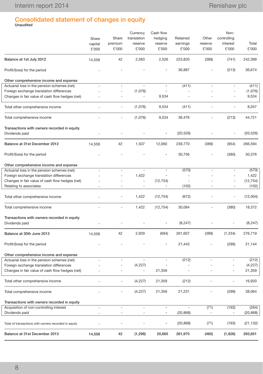# Consolidated statement of changes in equity Unaudited

|                                                               | Share<br>capital<br>£'000 | Share<br>premium<br>£'000 | Currency<br>translation<br>reserve<br>£'000 | Cash flow<br>hedging<br>reserve<br>£'000 | Retained<br>earnings<br>£'000 | Other<br>reserve<br>£'000    | Non-<br>controlling<br>interest<br>£'000 | Total<br>£'000 |
|---------------------------------------------------------------|---------------------------|---------------------------|---------------------------------------------|------------------------------------------|-------------------------------|------------------------------|------------------------------------------|----------------|
| Balance at 1st July 2012                                      | 14,558                    | 42                        | 2,583                                       | 2,526                                    | 223,820                       | (389)                        | (741)                                    | 242,399        |
| Profit/(loss) for the period                                  |                           |                           |                                             | $\overline{\phantom{a}}$                 | 36,887                        |                              | (213)                                    | 36,674         |
| Other comprehensive income and expense                        |                           |                           |                                             |                                          |                               |                              |                                          |                |
| Actuarial loss in the pension schemes (net)                   |                           | ä,                        |                                             | $\overline{\phantom{a}}$                 | (411)                         |                              |                                          | (411)          |
| Foreign exchange translation differences                      |                           | ÷,                        | (1,076)                                     |                                          |                               |                              |                                          | (1,076)        |
| Changes in fair value of cash flow hedges (net)               |                           |                           | $\overline{\phantom{a}}$                    | 9,534                                    |                               |                              |                                          | 9,534          |
| Total other comprehensive income                              | $\overline{\phantom{a}}$  | $\overline{a}$            | (1,076)                                     | 9,534                                    | (411)                         |                              | ÷,                                       | 8,047          |
| Total comprehensive income                                    |                           |                           | (1,076)                                     | 9,534                                    | 36,476                        | ÷,                           | (213)                                    | 44,721         |
| Transactions with owners recorded in equity                   |                           |                           |                                             |                                          |                               |                              |                                          |                |
| Dividends paid                                                |                           |                           |                                             |                                          | (20, 526)                     |                              |                                          | (20, 526)      |
| Balance at 31st December 2012                                 | 14,558                    | 42                        | 1,507                                       | 12,060                                   | 239,770                       | (389)                        | (954)                                    | 266,594        |
| Profit/(loss) for the period                                  |                           |                           |                                             |                                          | 30,756                        |                              | (380)                                    | 30,376         |
| Other comprehensive income and expense                        |                           |                           |                                             |                                          |                               |                              |                                          |                |
| Actuarial loss in the pension schemes (net)                   | $\overline{\phantom{a}}$  | $\overline{\phantom{a}}$  | $\overline{a}$                              | $\overline{\phantom{a}}$                 | (570)                         | ÷                            | ÷,                                       | (570)          |
| Foreign exchange translation differences                      |                           |                           | 1,422                                       |                                          | $\overline{\phantom{a}}$      |                              |                                          | 1,422          |
| Changes in fair value of cash flow hedges (net)               |                           |                           | ÷,                                          | (12, 754)                                |                               |                              | ÷,                                       | (12, 754)      |
| Relating to associates                                        | $\sim$                    |                           | $\overline{a}$                              | $\overline{\phantom{a}}$                 | (102)                         |                              | ٠                                        | (102)          |
| Total other comprehensive income                              |                           | ä,                        | 1,422                                       | (12, 754)                                | (672)                         |                              | $\overline{\phantom{a}}$                 | (12,004)       |
| Total comprehensive income                                    |                           |                           | 1,422                                       | (12, 754)                                | 30,084                        |                              | (380)                                    | 18,372         |
| Transactions with owners recorded in equity<br>Dividends paid |                           |                           |                                             | $\overline{a}$                           | (8, 247)                      |                              | $\overline{\phantom{a}}$                 | (8, 247)       |
| Balance at 30th June 2013                                     | 14,558                    | 42                        | 2,929                                       | (694)                                    | 261,607                       | (389)                        | (1, 334)                                 | 276,719        |
| Profit/(loss) for the period                                  |                           |                           |                                             | $\overline{\phantom{a}}$                 | 21,443                        |                              | (299)                                    | 21,144         |
| Other comprehensive income and expense                        |                           |                           |                                             |                                          |                               |                              |                                          |                |
| Actuarial loss in the pension schemes (net)                   |                           | ä,                        |                                             |                                          | (212)                         |                              |                                          | (212)          |
| Foreign exchange translation differences                      |                           |                           | (4,227)                                     |                                          |                               |                              |                                          | (4,227)        |
| Changes in fair value of cash flow hedges (net)               |                           |                           |                                             | 21,359                                   |                               |                              | ä,                                       | 21,359         |
| Total other comprehensive income                              | $\overline{\phantom{a}}$  | $\blacksquare$            | (4,227)                                     | 21,359                                   | (212)                         | ÷                            | $\qquad \qquad \blacksquare$             | 16,920         |
| Total comprehensive income                                    |                           |                           | (4,227)                                     | 21,359                                   | 21,231                        | $\overline{\phantom{m}}$     | (299)                                    | 38,064         |
| Transactions with owners recorded in equity                   |                           |                           |                                             |                                          |                               |                              |                                          |                |
| Acquisition of non-controlling interest                       | $\bar{a}$                 | $\sim$                    | $\omega$                                    | $\overline{\phantom{a}}$                 | $\overline{\phantom{a}}$      | (71)                         | (193)                                    | (264)          |
| Dividends paid                                                | $\overline{\phantom{a}}$  | $\blacksquare$            | $\overline{\phantom{a}}$                    | $\overline{\phantom{a}}$                 | (20, 868)                     | $\qquad \qquad \blacksquare$ |                                          | (20, 868)      |
| Total of transactions with owners recorded in equity          |                           |                           |                                             | $\overline{\phantom{a}}$                 | (20, 868)                     | (71)                         | (193)                                    | (21, 132)      |
| Balance at 31st December 2013                                 | 14,558                    | 42                        | (1, 298)                                    | 20,665                                   | 261,970                       | (460)                        | (1,826)                                  | 293,651        |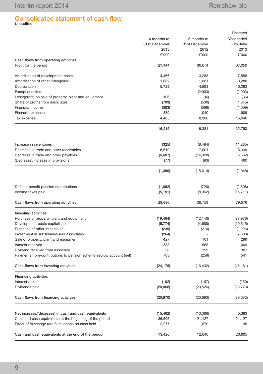# Consolidated statement of cash flow Unaudited

|                                                                    |               |               | Restated   |
|--------------------------------------------------------------------|---------------|---------------|------------|
|                                                                    | 6 months to   | 6 months to   | Year ended |
|                                                                    | 31st December | 31st December | 30th June  |
|                                                                    | 2013          | 2012          | 2013       |
|                                                                    | £'000         | £'000         | £'000      |
| Cash flows from operating activities                               |               |               |            |
| Profit for the period                                              | 21,144        | 36,674        | 67,050     |
| Amortisation of development costs                                  | 4,466         | 3,288         | 7,558      |
| Amortisation of other intangibles                                  | 1,682         | 1,681         | 3,280      |
| Depreciation                                                       | 5,729         | 4,993         | 10,293     |
| Exceptional item                                                   |               | (2,903)       | (2,903)    |
| Loss/(profit) on sale of property, plant and equipment             | 106           | (6)           | (36)       |
| Share of profits from associates                                   | (709)         | (530)         | (1, 345)   |
| Financial income                                                   | (383)         | (568)         | (1,009)    |
| <b>Financial expenses</b>                                          | 839           | 1,040         | 1,909      |
| Tax expense                                                        | 4,485         | 8,386         | 15,046     |
|                                                                    | 16,215        | 15,381        | 32,793     |
|                                                                    |               |               |            |
| Increase in inventories                                            | (325)         | (8, 494)      | (11, 285)  |
| Decrease in trade and other receivables                            | 5,619         | 7,001         | 15,339     |
| Decrease in trade and other payables                               | (6,607)       | (14, 028)     | (6, 562)   |
| (Decrease)/increase in provisions                                  | (77)          | (93)          | 460        |
|                                                                    | (1, 390)      | (15, 614)     | (2,048)    |
|                                                                    |               |               |            |
| Defined benefit pension contributions                              | (1,092)       | (720)         | (2,508)    |
| Income taxes paid                                                  | (5, 191)      | (8,962)       | (15, 711)  |
| Cash flows from operating activities                               | 29,686        | 26,759        | 79,576     |
| Investing activities                                               |               |               |            |
| Purchase of property, plant and equipment                          | (19, 464)     | (12, 143)     | (27, 976)  |
| Development costs capitalised                                      | (5,774)       | (4,688)       | (10, 615)  |
| Purchase of other intangibles                                      | (239)         | (210)         | (1,226)    |
| Investment in subsidiaries and associates                          | (264)         |               | (7,500)    |
| Sale of property, plant and equipment                              | 427           | 101           | 299        |
| Interest received                                                  | 383           | 568           | 1,009      |
| Dividend received from associate                                   | 50            | 199           | 307        |
| Payments from/contributions to pension scheme escrow account (net) | 703           | (259)         | 541        |
| Cash flows from investing activities                               | (24, 178)     | (16, 432)     | (45, 161)  |
| <b>Financing activities</b>                                        |               |               |            |
| Interest paid                                                      | (102)         | (167)         | (259)      |
| Dividends paid                                                     | (20, 868)     | (20, 526)     | (28, 773)  |
| Cash flows from financing activities                               | (20, 970)     | (20, 693)     | (29, 032)  |
|                                                                    |               |               |            |
| Net increase/(decrease) in cash and cash equivalents               | (15, 462)     | (10, 366)     | 5,383      |
| Cash and cash equivalents at the beginning of the period           | 26,605        | 21,127        | 21,127     |
| Effect of exchange rate fluctuations on cash held                  | 2,277         | 1,879         | 95         |
| Cash and cash equivalents at the end of the period                 | 13,420        | 12,640        | 26,605     |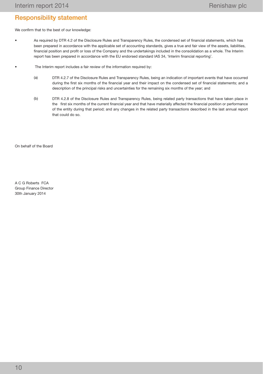## Responsibility statement

We confirm that to the best of our knowledge:

- As required by DTR 4.2 of the Disclosure Rules and Transparency Rules, the condensed set of financial statements, which has been prepared in accordance with the applicable set of accounting standards, gives a true and fair view of the assets, liabilities, financial position and profit or loss of the Company and the undertakings included in the consolidation as a whole. The Interim report has been prepared in accordance with the EU endorsed standard IAS 34, 'Interim financial reporting'.
- The Interim report includes a fair review of the information required by:
	- (a) DTR 4.2.7 of the Disclosure Rules and Transparency Rules, being an indication of important events that have occurred during the first six months of the financial year and their impact on the condensed set of financial statements; and a description of the principal risks and uncertainties for the remaining six months of the year; and
	- (b) DTR 4.2.8 of the Disclosure Rules and Transparency Rules, being related party transactions that have taken place in the first six months of the current financial year and that have materially affected the financial position or performance of the entity during that period; and any changes in the related party transactions described in the last annual report that could do so.

On behalf of the Board

A C G Roberts FCA Group Finance Director 30th January 2014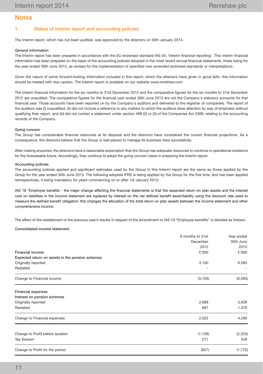## **Notes**

## 1. Status of Interim report and accounting policies

The Interim report, which has not been audited, was approved by the directors on 30th January 2014.

#### General information

The Interim report has been prepared in accordance with the EU endorsed standard IAS 34, 'Interim financial reporting'. This interim financial information has been prepared on the basis of the accounting policies adopted in the most recent annual financial statements, these being for the year ended 30th June 2013, as revised for the implementation of specified new amended endorsed standards or interpretations.

Given the nature of some forward-looking information included in this report, which the directors have given in good faith, this information should be treated with due caution. The Interim report is available on our website www.renishaw.com.

The interim financial information for the six months to 31st December 2013 and the comparative figures for the six months to 31st December 2012 are unaudited. The comparative figures for the financial year ended 30th June 2013 are not the Company's statutory accounts for that financial year. Those accounts have been reported on by the Company's auditors and delivered to the registrar of companies. The report of the auditors was (i) unqualified, (ii) did not include a reference to any matters to which the auditors drew attention by way of emphasis without qualifying their report, and (iii) did not contain a statement under section 498 (2) or (3) of the Companies Act 2006, relating to the accounting records of the Company.

#### Going concern

The Group has considerable financial resources at its disposal and the directors have considered the current financial projections. As a consequence, the directors believe that the Group is well placed to manage its business risks successfully.

After making enquiries, the directors have a reasonable expectation that the Group has adequate resources to continue in operational existence for the foreseeable future. Accordingly, they continue to adopt the going concern basis in preparing the Interim report.

#### Accounting policies

The accounting policies applied and significant estimates used by the Group in this Interim report are the same as those applied by the Group for the year ended 30th June 2013. The following adopted IFRS is being applied by the Group for the first time, and has been applied retrospectively, it being mandatory for years commencing on or after 1st January 2013:

IAS 19 "Employee benefits - the major change affecting the financial statements is that the expected return on plan assets and the interest cost on liabilities in the income statement are replaced by interest on the net defined benefit asset/liability using the discount rate used to measure the defined benefit obligation; this changes the allocation of the total return on plan assets between the income statement and other comprehensive income.

The effect of the restatement of the previous year's results in respect of the amendment to IAS 19 "Employee benefits" is detailed as follows:

#### Consolidated income statement

|                                                  | 6 months to 31st | Year ended |
|--------------------------------------------------|------------------|------------|
|                                                  | December         | 30th June  |
|                                                  | 2012             | 2013       |
| <b>Financial income</b>                          | £'000            | £'000      |
| Expected return on assets in the pension schemes |                  |            |
| Originally reported                              | 3,150            | 6,583      |
| Restated                                         |                  |            |
| Change to Financial income                       | (3, 150)         | (6, 583)   |
| <b>Financial expenses</b>                        |                  |            |
| Interest on pension schemes                      |                  |            |
| Originally reported                              | 2,689            | 5,638      |
| Restated                                         | 667              | 1,378      |
| Change to Financial expenses                     | 2,022            | 4,260      |
| Change to Profit before taxation                 | (1, 128)         | (2, 323)   |
| Tax thereon                                      | 271              | 548        |
| Change to Profit for the period                  | (857)            | (1,775)    |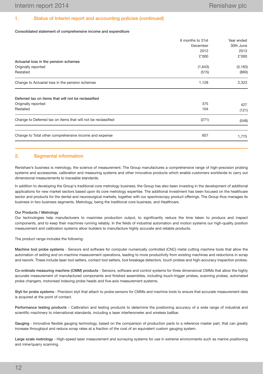### 1. Status of Interim report and accounting policies (continued)

#### Consolidated statement of comprehensive income and expenditure

|                                                               | 6 months to 31st | Year ended |
|---------------------------------------------------------------|------------------|------------|
|                                                               | December         | 30th June  |
|                                                               | 2012             | 2013       |
|                                                               | £'000            | £'000      |
| Actuarial loss in the pension schemes                         |                  |            |
| Originally reported                                           | (1,643)          | (3, 183)   |
| Restated                                                      | (515)            | (860)      |
| Change to Actuarial loss in the pension schemes               | 1,128            | 2,323      |
| Deferred tax on items that will not be reclassified           |                  |            |
| Originally reported                                           | 375              | 427        |
| Restated                                                      | 104              | (121)      |
| Change to Deferred tax on items that will not be reclassified | (271)            | (548)      |
| Change to Total other comprehensive income and expense        | 857              |            |
|                                                               |                  | 1,775      |

### 2. Segmental information

Renishaw's business is metrology, the science of measurement. The Group manufactures a comprehensive range of high-precision probing systems and accessories, calibration and measuring systems and other innovative products which enable customers worldwide to carry out dimensional measurements to traceable standards.

In addition to developing the Group's traditional core metrology business, the Group has also been investing in the development of additional applications for new market sectors based upon its core metrology expertise. The additional investment has been focused on the healthcare sector and products for the dental and neurosurgical markets, together with our spectroscopy product offerings. The Group thus manages its business in two business segments, Metrology, being the traditional core business, and Healthcare.

#### Our Products / Metrology

Our technologies help manufacturers to maximise production output, to significantly reduce the time taken to produce and inspect components, and to keep their machines running reliably. In the fields of industrial automation and motion systems our high-quality position measurement and calibration systems allow builders to manufacture highly accurate and reliable products.

The product range includes the following:

Machine tool probe systems - Sensors and software for computer numerically controlled (CNC) metal cutting machine tools that allow the automation of setting and on-machine measurement operations, leading to more productivity from existing machines and reductions in scrap and rework. These include laser tool setters, contact tool setters, tool breakage detectors, touch probes and high-accuracy inspection probes.

Co-ordinate measuring machine (CMM) products - Sensors, software and control systems for three dimensional CMMs that allow the highly accurate measurement of manufactured components and finished assemblies, including touch-trigger probes, scanning probes, automated probe changers, motorised indexing probe heads and five-axis measurement systems.

Styli for probe systems - Precision styli that attach to probe sensors for CMMs and machine tools to ensure that accurate measurement data is acquired at the point of contact.

Performance testing products - Calibration and testing products to determine the positioning accuracy of a wide range of industrial and scientific machinery to international standards, including a laser interferometer and wireless ballbar.

Gauging - Innovative flexible gauging technology, based on the comparison of production parts to a reference master part, that can greatly increase throughput and reduce scrap rates at a fraction of the cost of an equivalent custom gauging system.

Large scale metrology - High-speed laser measurement and surveying systems for use in extreme environments such as marine positioning and mine/quarry scanning.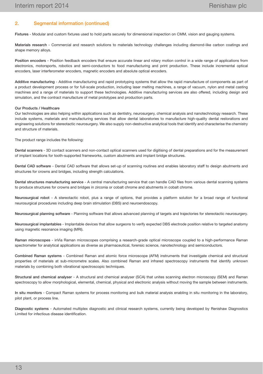## 2. Segmental information (continued)

Fixtures - Modular and custom fixtures used to hold parts securely for dimensional inspection on CMM, vision and gauging systems.

Materials research - Commercial and research solutions to materials technology challenges including diamond-like carbon coatings and shape memory alloys.

Position encoders - Position feedback encoders that ensure accurate linear and rotary motion control in a wide range of applications from electronics, motorsports, robotics and semi-conductors to food manufacturing and print production. These include incremental optical encoders, laser interferometer encoders, magnetic encoders and absolute optical encoders.

Additive manufacturing - Additive manufacturing and rapid prototyping systems that allow the rapid manufacture of components as part of a product development process or for full-scale production, including laser melting machines, a range of vacuum, nylon and metal casting machines and a range of materials to support these technologies. Additive manufacturing services are also offered, including design and simulation, and the contract manufacture of metal prototypes and production parts.

#### Our Products / Healthcare

Our technologies are also helping within applications such as dentistry, neurosurgery, chemical analysis and nanotechnology research. These include systems, materials and manufacturing services that allow dental laboratories to manufacture high-quality dental restorations and engineering solutions for stereotactic neurosurgery. We also supply non-destructive analytical tools that identify and characterise the chemistry and structure of materials.

The product range includes the following:

Dental scanners - 3D contact scanners and non-contact optical scanners used for digitising of dental preparations and for the measurement of implant locations for tooth-supported frameworks, custom abutments and implant bridge structures.

Dental CAD software - Dental CAD software that allows set-up of scanning routines and enables laboratory staff to design abutments and structures for crowns and bridges, including strength calculations.

Dental structures manufacturing service - A central manufacturing service that can handle CAD files from various dental scanning systems to produce structures for crowns and bridges in zirconia or cobalt chrome and abutments in cobalt chrome.

Neurosurgical robot - A stereotactic robot, plus a range of options, that provides a platform solution for a broad range of functional neurosurgical procedures including deep brain stimulation (DBS) and neuroendoscopy.

Neurosurgical planning software - Planning software that allows advanced planning of targets and trajectories for stereotactic neurosurgery.

Neurosurgical implantables - Implantable devices that allow surgeons to verify expected DBS electrode position relative to targeted anatomy using magnetic resonance imaging (MRI).

Raman microscopes - inVia Raman microscopes comprising a research-grade optical microscope coupled to a high-performance Raman spectrometer for analytical applications as diverse as pharmaceutical, forensic science, nanotechnology and semiconductors.

Combined Raman systems - Combined Raman and atomic force microscope (AFM) instruments that investigate chemical and structural properties of materials at sub-micrometre scales. Also combined Raman and infrared spectroscopy instruments that identify unknown materials by combining both vibrational spectroscopic techniques.

Structural and chemical analyser - A structural and chemical analyser (SCA) that unites scanning electron microscopy (SEM) and Raman spectroscopy to allow morphological, elemental, chemical, physical and electronic analysis without moving the sample between instruments.

In situ monitors - Compact Raman systems for process monitoring and bulk material analysis enabling in situ monitoring in the laboratory, pilot plant, or process line.

Diagnostic systems - Automated multiplex diagnostic and clinical research systems, currently being developed by Renishaw Diagnostics Limited for infectious disease identification.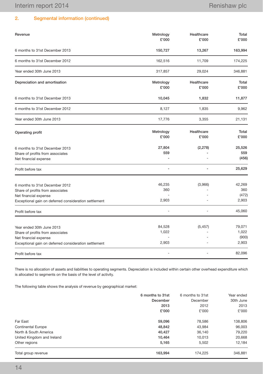## 2. Segmental information (continued)

| Revenue                                                                                                                                              | Metrology<br>£'000       | Healthcare<br>£'000 | Total<br>£'000                    |
|------------------------------------------------------------------------------------------------------------------------------------------------------|--------------------------|---------------------|-----------------------------------|
| 6 months to 31st December 2013                                                                                                                       | 150,727                  | 13,267              | 163,994                           |
| 6 months to 31st December 2012                                                                                                                       | 162,516                  | 11,709              | 174,225                           |
| Year ended 30th June 2013                                                                                                                            | 317,857                  | 29,024              | 346,881                           |
| Depreciation and amortisation                                                                                                                        | Metrology<br>£'000       | Healthcare<br>£'000 | Total<br>£'000                    |
| 6 months to 31st December 2013                                                                                                                       | 10,045                   | 1,832               | 11,877                            |
| 6 months to 31st December 2012                                                                                                                       | 8,127                    | 1,835               | 9,962                             |
| Year ended 30th June 2013                                                                                                                            | 17,776                   | 3,355               | 21,131                            |
| Operating profit                                                                                                                                     | Metrology<br>£'000       | Healthcare<br>£'000 | Total<br>£'000                    |
| 6 months to 31st December 2013<br>Share of profits from associates<br>Net financial expense                                                          | 27,804<br>559            | (2, 278)            | 25,526<br>559<br>(456)            |
| Profit before tax                                                                                                                                    | ÷                        | ٠                   | 25,629                            |
| 6 months to 31st December 2012<br>Share of profits from associates<br>Net financial expense<br>Exceptional gain on deferred consideration settlement | 46,235<br>360<br>2,903   | (3,966)             | 42,269<br>360<br>(472)<br>2,903   |
| Profit before tax                                                                                                                                    |                          | ä,                  | 45,060                            |
| Year ended 30th June 2013<br>Share of profits from associates<br>Net financial expense<br>Exceptional gain on deferred consideration settlement      | 84,528<br>1,022<br>2,903 | (5, 457)            | 79,071<br>1,022<br>(900)<br>2,903 |
| Profit before tax                                                                                                                                    |                          |                     | 82,096                            |

There is no allocation of assets and liabilities to operating segments. Depreciation is included within certain other overhead expenditure which is allocated to segments on the basis of the level of activity.

The following table shows the analysis of revenue by geographical market:

|                            | 6 months to 31st | 6 months to 31st | Year ended |
|----------------------------|------------------|------------------|------------|
|                            | December         | December         | 30th June  |
|                            | 2013             | 2012             | 2013       |
|                            | £'000            | £'000            | £'000      |
| Far East                   | 59,096           | 78,586           | 138,806    |
| <b>Continental Europe</b>  | 48,842           | 43,984           | 96.003     |
| North & South America      | 40,427           | 36.140           | 79,220     |
| United Kingdom and Ireland | 10.464           | 10.013           | 20,668     |
| Other regions              | 5,165            | 5.502            | 12,184     |
| Total group revenue        | 163,994          | 174,225          | 346,881    |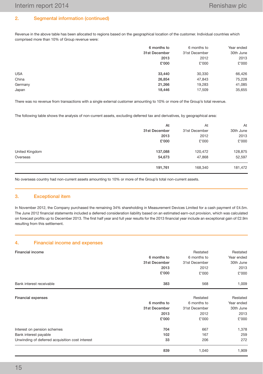## 2. Segmental information (continued)

Revenue in the above table has been allocated to regions based on the geographical location of the customer. Individual countries which comprised more than 10% of Group revenue were:

|            | 6 months to   | 6 months to   | Year ended |
|------------|---------------|---------------|------------|
|            | 31st December | 31st December | 30th June  |
|            | 2013          | 2012          | 2013       |
|            | £'000         | £'000         | £'000      |
| <b>USA</b> | 33,440        | 30,330        | 66,426     |
| China      | 26,854        | 47,843        | 75,228     |
| Germany    | 21,266        | 19,283        | 41,085     |
| Japan      | 18,446        | 17,509        | 35,655     |

There was no revenue from transactions with a single external customer amounting to 10% or more of the Group's total revenue.

The following table shows the analysis of non-current assets, excluding deferred tax and derivatives, by geographical area:

|                | At            | At            | At        |
|----------------|---------------|---------------|-----------|
|                | 31st December | 31st December | 30th June |
|                | 2013          | 2012          | 2013      |
|                | £'000         | £'000         | £'000     |
| United Kingdom | 137,088       | 120,472       | 128,875   |
| Overseas       | 54,673        | 47,868        | 52,597    |
|                | 191,761       | 168,340       | 181,472   |

No overseas country had non-current assets amounting to 10% or more of the Group's total non-current assets.

#### 3. Exceptional item

In November 2012, the Company purchased the remaining 34% shareholding in Measurement Devices Limited for a cash payment of £4.5m. The June 2012 financial statements included a deferred consideration liability based on an estimated earn-out provision, which was calculated on forecast profits up to December 2013. The first half year and full year results for the 2013 financial year include an exceptional gain of £2.9m resulting from this settlement.

#### 4. Financial income and expenses

| <b>Financial income</b>                         | Restated<br>Restated |               |                         |  |  |
|-------------------------------------------------|----------------------|---------------|-------------------------|--|--|
|                                                 | 6 months to          | 6 months to   | Year ended<br>30th June |  |  |
|                                                 | 31st December        | 31st December |                         |  |  |
|                                                 | 2013                 | 2012          | 2013                    |  |  |
|                                                 | £'000                | £'000         | £'000                   |  |  |
| Bank interest receivable                        | 383                  | 568           | 1,009                   |  |  |
| <b>Financial expenses</b>                       |                      | Restated      | Restated                |  |  |
|                                                 | 6 months to          | 6 months to   | Year ended              |  |  |
|                                                 | 31st December        | 31st December | 30th June               |  |  |
|                                                 | 2013                 | 2012          | 2013                    |  |  |
|                                                 | £'000                | £'000         | £'000                   |  |  |
| Interest on pension schemes                     | 704                  | 667           | 1,378                   |  |  |
| Bank interest payable                           | 102                  | 167           | 259                     |  |  |
| Unwinding of deferred acquisition cost interest | 33                   | 206           | 272                     |  |  |
|                                                 | 839                  | 1,040         | 1,909                   |  |  |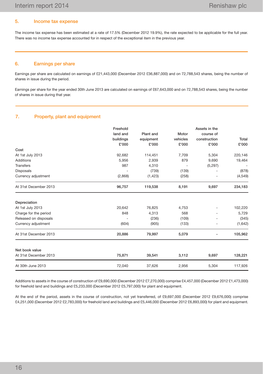## 5. Income tax expense

The income tax expense has been estimated at a rate of 17.5% (December 2012 19.9%), the rate expected to be applicable for the full year. There was no income tax expense accounted for in respect of the exceptional item in the previous year.

## 6. Earnings per share

Earnings per share are calculated on earnings of £21,443,000 (December 2012 £36,887,000) and on 72,788,543 shares, being the number of shares in issue during the period.

Earnings per share for the year ended 30th June 2013 are calculated on earnings of £67,643,000 and on 72,788,543 shares, being the number of shares in issue during that year.

## 7. Property, plant and equipment

|                       | Freehold  |           |                          | Assets in the |              |
|-----------------------|-----------|-----------|--------------------------|---------------|--------------|
|                       | land and  | Plant and | Motor                    | course of     |              |
|                       | buildings | equipment | vehicles                 | construction  | <b>Total</b> |
|                       | £'000     | £'000     | £'000                    | £'000         | £'000        |
| Cost                  |           |           |                          |               |              |
| At 1st July 2013      | 92,682    | 114,451   | 7,709                    | 5,304         | 220,146      |
| <b>Additions</b>      | 5,956     | 2,939     | 879                      | 9,690         | 19,464       |
| <b>Transfers</b>      | 987       | 4,310     | $\overline{\phantom{a}}$ | (5,297)       |              |
| <b>Disposals</b>      |           | (739)     | (139)                    |               | (878)        |
| Currency adjustment   | (2,868)   | (1, 423)  | (258)                    |               | (4,549)      |
| At 31st December 2013 | 96,757    | 119,538   | 8,191                    | 9,697         | 234,183      |
| Depreciation          |           |           |                          |               |              |
| At 1st July 2013      | 20,642    | 76,825    | 4,753                    |               | 102,220      |
| Charge for the period | 848       | 4,313     | 568                      |               | 5,729        |
| Released on disposals |           | (236)     | (109)                    |               | (345)        |
| Currency adjustment   | (604)     | (905)     | (133)                    |               | (1,642)      |
| At 31st December 2013 | 20,886    | 79,997    | 5,079                    |               | 105,962      |
| Net book value        |           |           |                          |               |              |
| At 31st December 2013 | 75,871    | 39,541    | 3,112                    | 9,697         | 128,221      |
| At 30th June 2013     | 72,040    | 37,626    | 2,956                    | 5,304         | 117,926      |

Additions to assets in the course of construction of £9,690,000 (December 2012 £7,270,000) comprise £4,457,000 (December 2012 £1,473,000) for freehold land and buildings and £5,233,000 (December 2012 £5,797,000) for plant and equipment.

At the end of the period, assets in the course of construction, not yet transferred, of £9,697,000 (December 2012 £9,676,000) comprise £4,251,000 (December 2012 £2,783,000) for freehold land and buildings and £5,446,000 (December 2012 £6,893,000) for plant and equipment.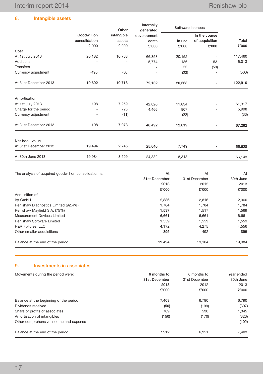8. Intangible assets

|                       |                          | Other      | Internally<br>generated | Software licences |                |                          |
|-----------------------|--------------------------|------------|-------------------------|-------------------|----------------|--------------------------|
|                       | Goodwill on              | intangible | development             |                   | In the course  |                          |
|                       | consolidation            | assets     | costs                   | In use            | of acquisition | Total                    |
|                       | £'000                    | £'000      | £'000                   | £'000             | £'000          | £'000                    |
| Cost                  |                          |            |                         |                   |                |                          |
| At 1st July 2013      | 20,182                   | 10,768     | 66,358                  | 20,152            |                | 117,460                  |
| <b>Additions</b>      | ٠                        |            | 5,774                   | 186               | 53             | 6,013                    |
| <b>Transfers</b>      | $\overline{\phantom{0}}$ | ٠          |                         | 53                | (53)           | $\overline{\phantom{a}}$ |
| Currency adjustment   | (490)                    | (50)       |                         | (23)              |                | (563)                    |
| At 31st December 2013 | 19,692                   | 10,718     | 72,132                  | 20,368            |                | 122,910                  |
| Amortisation          |                          |            |                         |                   |                |                          |
| At 1st July 2013      | 198                      | 7,259      | 42,026                  | 11,834            |                | 61,317                   |
| Charge for the period |                          | 725        | 4,466                   | 807               |                | 5,998                    |
| Currency adjustment   |                          | (11)       |                         | (22)              |                | (33)                     |
| At 31st December 2013 | 198                      | 7,973      | 46,492                  | 12,619            |                | 67,282                   |
| Net book value        |                          |            |                         |                   |                |                          |
| At 31st December 2013 | 19,494                   | 2,745      | 25,640                  | 7,749             |                | 55,628                   |
| At 30th June 2013     | 19,984                   | 3,509      | 24,332                  | 8,318             |                | 56,143                   |

| The analysis of acquired goodwill on consolidation is: | At                                                 | At                                                 | At<br>30th June                                    |
|--------------------------------------------------------|----------------------------------------------------|----------------------------------------------------|----------------------------------------------------|
|                                                        | 31st December                                      | 31st December                                      |                                                    |
|                                                        | 2013                                               | 2012                                               | 2013                                               |
|                                                        | £'000                                              | £'000                                              | £'000                                              |
| Acquisition of:                                        | 2,886<br>1,784<br>1.537<br>6,661<br>1.559<br>4,172 |                                                    | 2,960<br>1,784<br>1,569<br>6,661<br>1,559<br>4,556 |
| itp GmbH                                               |                                                    | 2,816<br>1.784<br>1.517<br>6,661<br>1.559<br>4.275 |                                                    |
| Renishaw Diagnostics Limited (92.4%)                   |                                                    |                                                    |                                                    |
| Renishaw Mayfield S.A. (75%)                           |                                                    |                                                    |                                                    |
| Measurement Devices Limited                            |                                                    |                                                    |                                                    |
| Renishaw Software Limited                              |                                                    |                                                    |                                                    |
| R&R Fixtures, LLC                                      |                                                    |                                                    |                                                    |
| Other smaller acquisitions                             | 895                                                | 492                                                | 895                                                |
| Balance at the end of the period                       | 19,494                                             | 19,104                                             | 19,984                                             |

## 9. Investments in associates

| Movements during the period were:      | 6 months to   | 6 months to    | Year ended<br>30th June |
|----------------------------------------|---------------|----------------|-------------------------|
|                                        | 31st December | 31st December  |                         |
|                                        | 2013          | 2012           | 2013                    |
|                                        | £'000         | £'000          | £'000                   |
| Balance at the beginning of the period | 7,403<br>(50) | 6.790<br>(199) | 6.790<br>(307)          |
| Dividends received                     |               |                |                         |
| Share of profits of associates         | 709           | 530            | 1.345                   |
| Amortisation of intangibles            | (150)         | (170)          | (323)                   |
| Other comprehensive income and expense |               |                | (102)                   |
| Balance at the end of the period       | 7,912         | 6.951          | 7.403                   |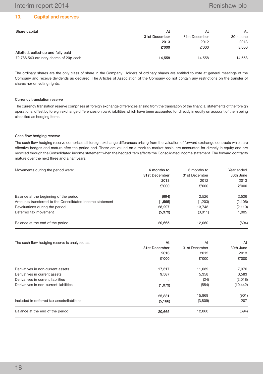## 10. Capital and reserves

| At            | At            | At        |
|---------------|---------------|-----------|
| 31st December | 31st December | 30th June |
| 2013          | 2012          | 2013      |
| £'000         | £'000         | £'000     |
|               |               |           |
| 14.558        | 14.558        | 14,558    |
|               |               |           |

The ordinary shares are the only class of share in the Company. Holders of ordinary shares are entitled to vote at general meetings of the Company and receive dividends as declared. The Articles of Association of the Company do not contain any restrictions on the transfer of shares nor on voting rights.

### Currency translation reserve

The currency translation reserve comprises all foreign exchange differences arising from the translation of the financial statements of the foreign operations, offset by foreign exchange differences on bank liabilities which have been accounted for directly in equity on account of them being classified as hedging items.

#### Cash flow hedging reserve

The cash flow hedging reserve comprises all foreign exchange differences arising from the valuation of forward exchange contracts which are effective hedges and mature after the period end. These are valued on a mark-to-market basis, are accounted for directly in equity and are recycled through the Consolidated income statement when the hedged item affects the Consolidated income statement. The forward contracts mature over the next three and a half years.

| Movements during the period were:                        | 6 months to   | Year ended    |           |
|----------------------------------------------------------|---------------|---------------|-----------|
|                                                          | 31st December | 31st December | 30th June |
|                                                          | 2013          | 2012          | 2013      |
|                                                          | £'000         | £'000         | £'000     |
| Balance at the beginning of the period                   | (694)         | 2,526         | 2,526     |
| Amounts transferred to the Consolidated income statement | (1, 565)      | (1,203)       | (2, 106)  |
| Revaluations during the period                           | 28,297        | 13,748        | (2, 119)  |
| Deferred tax movement                                    | (5, 373)      | (3,011)       | 1.005     |
| Balance at the end of the period                         | 20,665        | 12,060        | (694)     |

| The cash flow hedging reserve is analysed as: | At            | At            | At        |
|-----------------------------------------------|---------------|---------------|-----------|
|                                               | 31st December | 31st December | 30th June |
|                                               | 2013          | 2012          | 2013      |
|                                               | £'000         | £'000         | £'000     |
| Derivatives in non-current assets             | 17,317        | 11,089        | 7,976     |
| Derivatives in current assets                 | 9,587         | 5,358         | 3.583     |
| Derivatives in current liabilities            |               | (24)          | (2,018)   |
| Derivatives in non-current liabilities        | (1,073)       | (554)         | (10, 442) |
|                                               | 25,831        | 15,869        | (901)     |
| Included in deferred tax assets/liabilities   | (5, 166)      | (3,809)       | 207       |
| Balance at the end of the period              | 20.665        | 12.060        | (694)     |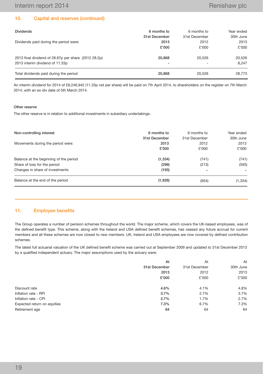## 10. Capital and reserves (continued)

| <b>Dividends</b>                                     | 6 months to              | 6 months to   | Year ended |
|------------------------------------------------------|--------------------------|---------------|------------|
|                                                      | 31st December            | 31st December | 30th June  |
| Dividends paid during the period were:               | 2013                     | 2012          | 2013       |
|                                                      | £'000                    | £'000         | £'000      |
| 2013 final dividend of 28.67p per share (2012 28.2p) | 20,868                   | 20.526        | 20,526     |
| 2013 interim dividend of 11.33p                      | $\overline{\phantom{a}}$ |               | 8.247      |
| Total dividends paid during the period               | 20,868                   | 20.526        | 28.773     |

An interim dividend for 2014 of £8,246,942 (11.33p net per share) will be paid on 7th April 2014, to shareholders on the register on 7th March 2014, with an ex-div date of 5th March 2014.

#### Other reserve

The other reserve is in relation to additional investments in subsidiary undertakings.

| Non-controlling interest               | 6 months to<br>31st December | 6 months to<br>31st December | Year ended<br>30th June |
|----------------------------------------|------------------------------|------------------------------|-------------------------|
| Movements during the period were:      | 2013                         | 2012                         | 2013                    |
|                                        | £'000                        | £'000                        | £'000                   |
| Balance at the beginning of the period | (1, 334)                     | (741)                        | (741)                   |
| Share of loss for the period           | (299)                        | (213)                        | (593)                   |
| Changes in share of investments        | (193)                        |                              | -                       |
| Balance at the end of the period       | (1,826)                      | (954)                        | (1, 334)                |

### 11. Employee benefits

The Group operates a number of pension schemes throughout the world. The major scheme, which covers the UK-based employees, was of the defined benefit type. This scheme, along with the Ireland and USA defined benefit schemes, has ceased any future accrual for current members and all these schemes are now closed to new members. UK, Ireland and USA employees are now covered by defined contribution schemes.

The latest full actuarial valuation of the UK defined benefit scheme was carried out at September 2009 and updated to 31st December 2013 by a qualified independent actuary. The major assumptions used by the actuary were:

|                             | At            | At            | At        |
|-----------------------------|---------------|---------------|-----------|
|                             | 31st December | 31st December | 30th June |
|                             | 2013          | 2012          | 2013      |
|                             | £'000         | £'000         | £'000     |
| Discount rate               | 4.6%          | 4.1%          | 4.8%      |
| Inflation rate - RPI        | 3.7%          | 2.7%          | 3.7%      |
| Inflation rate - CPI        | 2.7%          | 1.7%          | 2.7%      |
| Expected return on equities | 7.3%          | 6.7%          | 7.3%      |
| Retirement age              | 64            | 64            | 64        |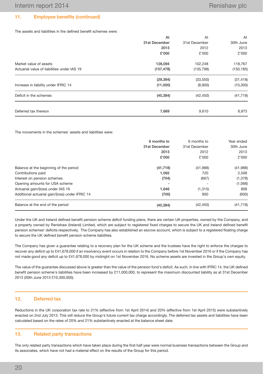## 11. Employee benefits (continued)

The assets and liabilities in the defined benefit schemes were:

|                                             | At            | At            | At         |
|---------------------------------------------|---------------|---------------|------------|
|                                             | 31st December | 31st December | 30th June  |
|                                             | 2013          | 2012          | 2013       |
|                                             | £'000         | £'000         | £'000      |
| Market value of assets                      | 128,094       | 102,248       | 118,767    |
| Actuarial value of liabilities under IAS 19 | (157, 478)    | (135, 798)    | (150, 185) |
|                                             | (29, 384)     | (33, 550)     | (31, 418)  |
| Increase in liability under IFRIC 14        | (11,000)      | (8,900)       | (10, 300)  |
| Deficit in the schemes                      | (40, 384)     | (42, 450)     | (41, 718)  |
| Deferred tax thereon                        | 7,669         | 9,610         | 8,973      |

The movements in the schemes' assets and liabilities were:

|                                                 | 6 months to   | 6 months to   | Year ended |
|-------------------------------------------------|---------------|---------------|------------|
|                                                 | 31st December | 31st December | 30th June  |
|                                                 | 2013          | 2012          | 2013       |
|                                                 | £'000         | £'000         | £'000      |
| Balance at the beginning of the period          | (41, 718)     | (41,988)      | (41,988)   |
| Contributions paid                              | 1,092         | 720           | 2,508      |
| Interest on pension schemes                     | (704)         | (667)         | (1,378)    |
| Opening amounts for USA scheme                  |               |               | (1,068)    |
| Actuarial gain/(loss) under IAS 19              | 1,646         | (1, 315)      | 808        |
| Additional actuarial gain/(loss) under IFRIC 14 | (700)         | 800           | (600)      |
| Balance at the end of the period                | (40, 384)     | (42, 450)     | (41, 718)  |

Under the UK and Ireland defined benefit pension scheme deficit funding plans, there are certain UK properties, owned by the Company, and a property owned by Renishaw (Ireland) Limited, which are subject to registered fixed charges to secure the UK and Ireland defined benefit pension schemes' deficits respectively. The Company has also established an escrow account, which is subject to a registered floating charge to secure the UK defined benefit pension scheme liabilities.

The Company has given a guarantee relating to a recovery plan for the UK scheme and the trustees have the right to enforce the charges to recover any deficit up to £41,678,000 if an insolvency event occurs in relation to the Company before 1st November 2016 or if the Company has not made good any deficit up to £41,678,000 by midnight on 1st November 2016. No scheme assets are invested in the Group's own equity.

The value of the guarantee discussed above is greater than the value of the pension fund's deficit. As such, in line with IFRIC 14, the UK defined benefit pension scheme's liabilities have been increased by £11,000,000, to represent the maximum discounted liability as at 31st December 2013 (30th June 2013 £10,300,000).

## 12. Deferred tax

Reductions in the UK corporation tax rate to 21% (effective from 1st April 2014) and 20% (effective from 1st April 2015) were substantively enacted on 2nd July 2013. This will reduce the Group's future current tax charge accordingly. The deferred tax assets and liabilities have been calculated based on the rates of 20% and 21% substantively enacted at the balance sheet date.

### 13. Related party transactions

The only related party transactions which have taken place during the first half year were normal business transactions between the Group and its associates, which have not had a material effect on the results of the Group for this period.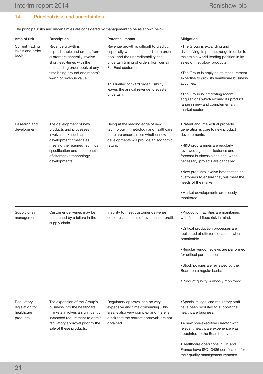their quality management systems.

## 14. Principal risks and uncertainties

The principal risks and uncertainties are considered by management to be as shown below:

| Area of risk                                            | Description                                                                                                                                                                                                           | Potential impact                                                                                                                                                                                                                                                                        | Mitigation                                                                                                                                                                                                                                                                                                                                                                                           |
|---------------------------------------------------------|-----------------------------------------------------------------------------------------------------------------------------------------------------------------------------------------------------------------------|-----------------------------------------------------------------------------------------------------------------------------------------------------------------------------------------------------------------------------------------------------------------------------------------|------------------------------------------------------------------------------------------------------------------------------------------------------------------------------------------------------------------------------------------------------------------------------------------------------------------------------------------------------------------------------------------------------|
| Current trading<br>levels and order<br>book             | Revenue growth is<br>unpredictable and orders from<br>customers generally involve<br>short lead-times with the<br>outstanding order book at any<br>time being around one month's<br>worth of revenue value.           | Revenue growth is difficult to predict,<br>especially with such a short-term order<br>book and the unpredictability and<br>uncertain timing of orders from certain<br>Far East customers.<br>This limited forward order visibility<br>leaves the annual revenue forecasts<br>uncertain. | •The Group is expanding and<br>diversifying its product range in order to<br>maintain a world-leading position in its<br>sales of metrology products.<br>•The Group is applying its measurement<br>expertise to grow its healthcare business<br>activities.<br>•The Group is integrating recent<br>acquisitions which expand its product<br>range in new and complementary<br>market sectors.        |
| Research and<br>development                             | The development of new<br>products and processes<br>involves risk, such as<br>development timescales,<br>meeting the required technical<br>specification and the impact<br>of alternative technology<br>developments. | Being at the leading edge of new<br>technology in metrology and healthcare,<br>there are uncertainties whether new<br>developments will provide an economic<br>return.                                                                                                                  | • Patent and intellectual property<br>generation is core to new product<br>developments.<br>.R&D programmes are regularly<br>reviewed against milestones and<br>forecast business plans and, when<br>necessary, projects are cancelled.<br>•New products involve beta testing at<br>customers to ensure they will meet the<br>needs of the market.<br>•Market developments are closely<br>monitored. |
| Supply chain<br>management                              | Customer deliveries may be<br>threatened by a failure in the<br>supply chain.                                                                                                                                         | Inability to meet customer deliveries<br>could result in loss of revenue and profit.                                                                                                                                                                                                    | • Production facilities are maintained<br>with fire and flood risk in mind.<br>• Critical production processes are<br>replicated at different locations where<br>practicable.<br>•Regular vendor reviews are performed<br>for critical part suppliers.<br>•Stock policies are reviewed by the<br>Board on a regular basis.<br>. Product quality is closely monitored.                                |
| Regulatory<br>legislation for<br>healthcare<br>products | The expansion of the Group's<br>business into the healthcare<br>markets involves a significantly<br>increased requirement to obtain<br>regulatory approval prior to the<br>sale of these products.                    | Regulatory approval can be very<br>expensive and time-consuming. This<br>area is also very complex and there is<br>a risk that the correct approvals are not<br>obtained.                                                                                                               | •Specialist legal and regulatory staff<br>have been recruited to support the<br>healthcare business.<br>.A new non-executive director with<br>relevant healthcare experience was<br>appointed to the Board last year.<br>. Healthcare operations in UK and<br>France have ISO 13485 certification for                                                                                                |